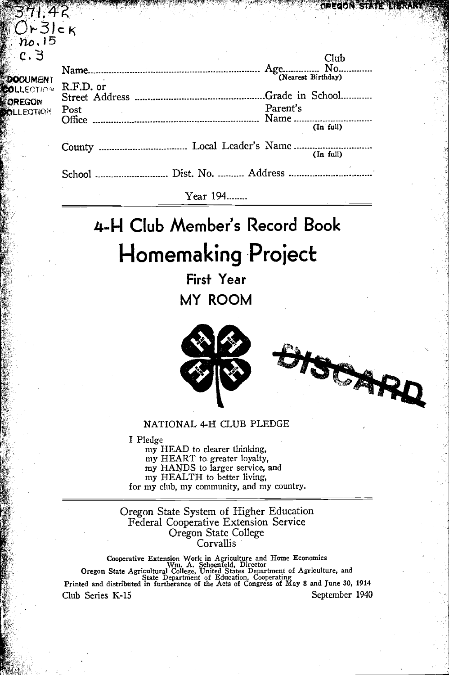| $0,3$ lck<br>no.15     |                            |                          |  |
|------------------------|----------------------------|--------------------------|--|
| $c \cdot 3$            |                            | Club                     |  |
| <b>CUMENT</b>          | $Age$                      | No<br>(Nearest Birthday) |  |
| LECTION<br><b>EGON</b> | R.F.D. or                  | Grade in School          |  |
| LECTION                | Parent's<br>Post<br>Office |                          |  |
|                        |                            | $(In$ full)              |  |
|                        | County                     | (In full)                |  |
|                        | School                     |                          |  |
|                        | Year 194                   |                          |  |

# 4-H Club Member's Record Book Homemaking Project

First Year MY ROOM



JOAN

#### NATIONAL 4-H CLUB PLEDGE

I Pledge

my HEAD to clearer thinking, my HEART to greater loyalty, my HANDS to larger service, and my HEALTH to better living, for my club, my community, and my country.

Oregon State System of Higher Education Federal Cooperative Extension Service Oregon State College Corvallis

Cooperative Extension Work in Agriculture and Home Economics<br>W.m. A. Schoenfeld, Director<br>Oregon State Agricultural College, United States Department of Agriculture, and<br>State Department of Education, Cooperating<br>Printed a Club Series K-15 September 1940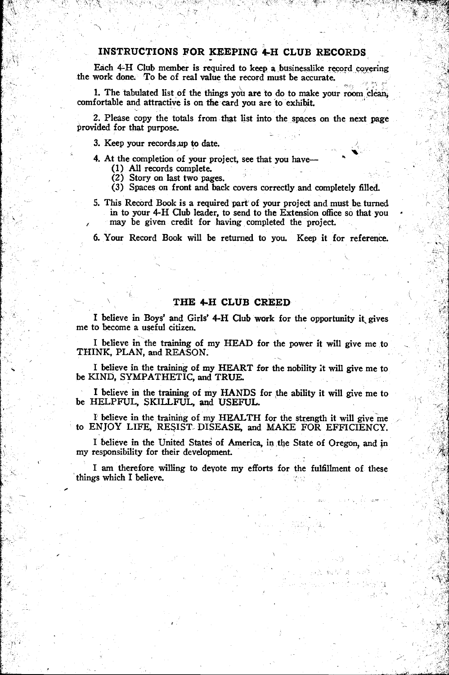### INSTRUCTIONS FOR KEEPING 4-H CLUB RECORDS

Each 4-H Club member is required to keep a businesslike record covering the work done. To be of real value the record must be accurate.

1. The tabulated list of the things you are to do to make your room 'clean, comfortable and attractive is on the card you are to exhibit.

2. Please copy the totals from that list into the spaces on the next page provided for that purpose.

3. Keep your records up to date.

4. At the completion of your project, see that you have

- (I) All records complete.
- (2) Story on last two pages.
- (3) Spaces on front and back covers correctly and completely filled.

5. This Record Book is a required part of your project and must be turned in to your 4-H Club leader, to send to the Extension office so that you may be given credit for having completed the project.

6. Your Record Book will be returned to you. Keep it for reference.

#### THE 4-H CLUB CREED

I believe in Boys' and Girls' 4-H Club work for the opportunity it gives me to become a useful citizen.

I believe in the training of my HEAD for the power it will give me to THINK, PLAN, and REASON.

I believe in the training of my HEART for the nobility it will give me to be KIND, SYMPATHETIC, and TRUE

I believe in the training of my HANDS for the ability it will give me to be HELPFUL, SKILLFUL, and USEFUL.

I believe in the training of my HEALTH for the strength it will give me to ENJOY LIFE, RESIST. DISEASE, and MAKE FOR EFFICIENCY.

I believe in the United States of America, in the State of Oregon, and in my responsibility for their development.

I am therefore willing to deyote my efforts for the fulfillment of these things which I believe.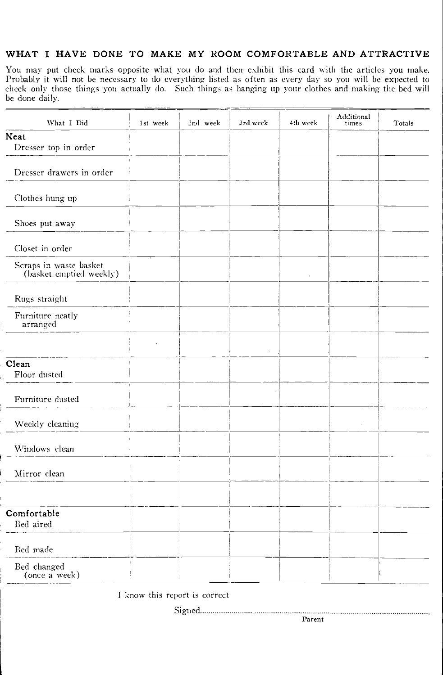#### WHAT I HAVE DONE TO MAKE MY ROOM COMFORTABLE AND ATTRACTIVE

You may put check marks opposite what you do and then exhibit this card with the articles you make. Probably it will not be necessary to do everything listed as often as every day so you will be expected to check only those things you actually do. Such things as hanging up your clothes and making the bed will be done daily.

| What I Did                                        | 1st week             | 2nd week | 3rd week | 4th week | Additional<br>times | Totals |
|---------------------------------------------------|----------------------|----------|----------|----------|---------------------|--------|
| Neat                                              |                      |          |          |          |                     |        |
| Dresser top in order                              |                      |          |          |          |                     |        |
| Dresser drawers in order                          |                      |          |          |          |                     |        |
| Clothes hung up                                   |                      |          |          |          |                     |        |
| Shoes put away                                    |                      |          |          |          |                     |        |
| Closet in order                                   |                      |          |          |          |                     |        |
| Scraps in waste basket<br>(basket emptied weekly) |                      |          |          |          |                     |        |
| Rugs straight                                     |                      |          |          |          |                     |        |
| Furniture neatly<br>arranged                      |                      |          |          |          |                     |        |
|                                                   | $\ddot{\phantom{a}}$ |          |          |          |                     |        |
| Clean<br>Floor dusted                             |                      |          |          |          |                     |        |
| Furniture dusted                                  |                      |          |          |          |                     |        |
| Weekly cleaning                                   |                      |          |          |          |                     |        |
| Windows clean                                     |                      |          |          |          |                     |        |
| Mirror clean                                      |                      |          |          |          |                     |        |
|                                                   |                      |          |          |          |                     |        |
| Comfortable<br>Bed aired                          |                      |          |          |          |                     |        |
| Bed made                                          |                      |          |          |          |                     |        |
| Bed changed<br>(once a week)                      |                      |          |          |          |                     |        |

I know this report is correct

Signed.............................................................................................................. Parent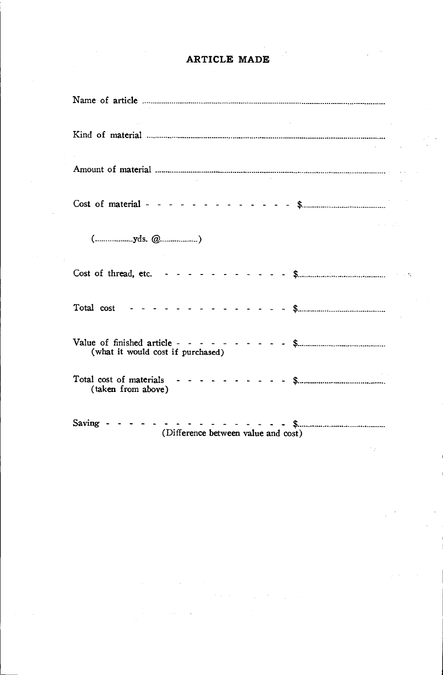# ARTICLE MADE

| (yds. @)                                                                     |                                     |  |  |
|------------------------------------------------------------------------------|-------------------------------------|--|--|
|                                                                              |                                     |  |  |
| Total cost                                                                   |                                     |  |  |
| Value of finished article - - - - - - -<br>(what it would cost if purchased) |                                     |  |  |
| Total cost of materials<br>(taken from above)                                |                                     |  |  |
| Saving                                                                       | (Difference between value and cost) |  |  |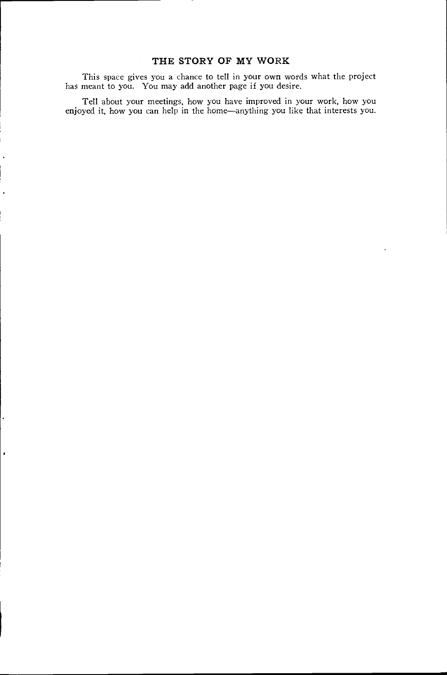#### THE STORY OF MY WORK

This space gives you a chance to tell in your own words what the project has meant to you. You may add another page if you desire.

Tell about your meetings, how you have improved in your work, how you enjoyed it, how you can help in the home—anything you like that interests you.

 $\cdot$ 

ï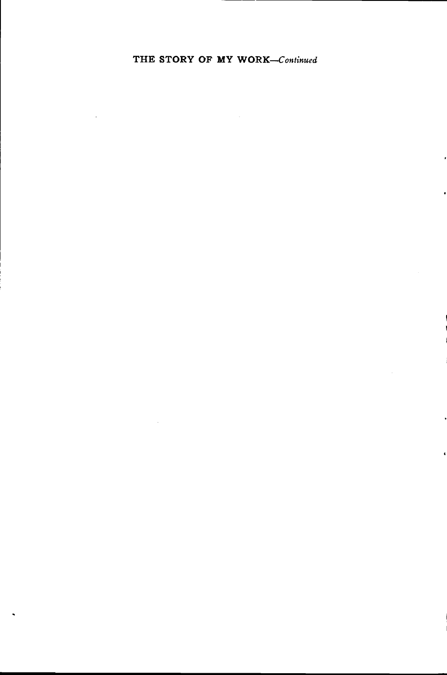## THE STORY OF MY WORK-Continued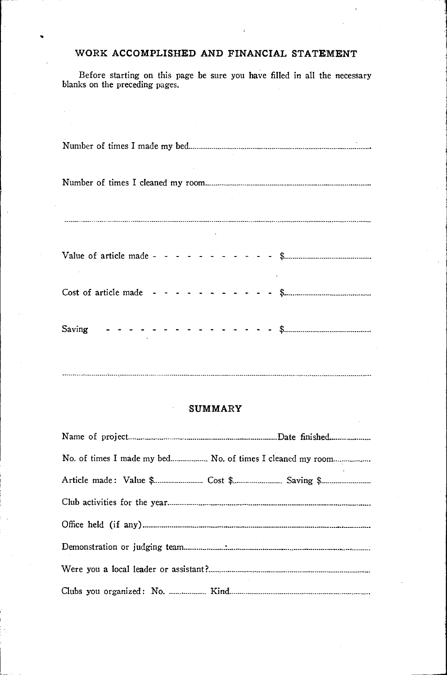#### WORK ACCOMPLISHED AND FINANCIAL STATEMENT

Before starting on this page be sure you have filled in all the necessary blanks on the preceding pages.

Number of times I made my bed.

Number of times I cleaned my room ..................

Value of article made ----------- Cost of article made 

Saving  $\sim$   $-$ 

#### SUMMARY

| No. of times I made my bed No. of times I cleaned my room |
|-----------------------------------------------------------|
|                                                           |
|                                                           |
|                                                           |
|                                                           |
|                                                           |
|                                                           |